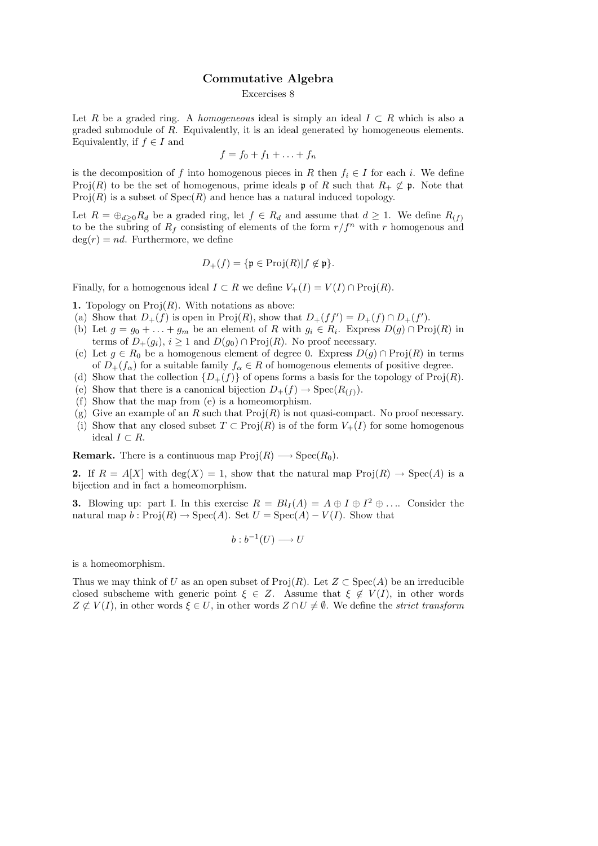## Commutative Algebra

## Excercises 8

Let R be a graded ring. A homogeneous ideal is simply an ideal  $I \subset R$  which is also a graded submodule of R. Equivalently, it is an ideal generated by homogeneous elements. Equivalently, if  $f \in I$  and

$$
f = f_0 + f_1 + \ldots + f_n
$$

is the decomposition of f into homogenous pieces in R then  $f_i \in I$  for each i. We define Proj(R) to be the set of homogenous, prime ideals **p** of R such that  $R_+ \not\subset \mathfrak{p}$ . Note that  $Proj(R)$  is a subset of  $Spec(R)$  and hence has a natural induced topology.

Let  $R = \bigoplus_{d>0} R_d$  be a graded ring, let  $f \in R_d$  and assume that  $d \geq 1$ . We define  $R_{(f)}$ to be the subring of  $R_f$  consisting of elements of the form  $r/f^n$  with r homogenous and  $deg(r) = nd$ . Furthermore, we define

$$
D_+(f) = \{ \mathfrak{p} \in \operatorname{Proj}(R) | f \notin \mathfrak{p} \}.
$$

Finally, for a homogenous ideal  $I \subset R$  we define  $V_+(I) = V(I) \cap \text{Proj}(R)$ .

**1.** Topology on  $\text{Proj}(R)$ . With notations as above:

- (a) Show that  $D_+(f)$  is open in Proj $(R)$ , show that  $D_+(ff') = D_+(f) \cap D_+(f')$ .
- (b) Let  $g = g_0 + \ldots + g_m$  be an element of R with  $g_i \in R_i$ . Express  $D(g) \cap \text{Proj}(R)$  in terms of  $D_{+}(g_i)$ ,  $i \geq 1$  and  $D(g_0) \cap \text{Proj}(R)$ . No proof necessary.
- (c) Let  $g \in R_0$  be a homogenous element of degree 0. Express  $D(g) \cap \text{Proj}(R)$  in terms of  $D_{+}(f_{\alpha})$  for a suitable family  $f_{\alpha} \in R$  of homogenous elements of positive degree.
- (d) Show that the collection  $\{D_+(f)\}\$  of opens forms a basis for the topology of Proj $(R)$ .
- (e) Show that there is a canonical bijection  $D_+(f) \to \text{Spec}(R_{(f)})$ .
- (f) Show that the map from (e) is a homeomorphism.
- (g) Give an example of an R such that  $\text{Proj}(R)$  is not quasi-compact. No proof necessary.
- (i) Show that any closed subset  $T \subset \text{Proj}(R)$  is of the form  $V_+(I)$  for some homogenous ideal  $I \subset R$ .

**Remark.** There is a continuous map  $\text{Proj}(R) \longrightarrow \text{Spec}(R_0)$ .

2. If  $R = A[X]$  with  $deg(X) = 1$ , show that the natural map  $Proj(R) \to Spec(A)$  is a bijection and in fact a homeomorphism.

**3.** Blowing up: part I. In this exercise  $R = Bl<sub>I</sub>(A) = A \oplus I \oplus I<sup>2</sup> \oplus \dots$  Consider the natural map  $b : \text{Proj}(R) \to \text{Spec}(A)$ . Set  $U = \text{Spec}(A) - V(I)$ . Show that

$$
b:b^{-1}(U)\longrightarrow U
$$

is a homeomorphism.

Thus we may think of U as an open subset of  $\text{Proj}(R)$ . Let  $Z \subset \text{Spec}(A)$  be an irreducible closed subscheme with generic point  $\xi \in Z$ . Assume that  $\xi \notin V(I)$ , in other words  $Z \not\subset V(I)$ , in other words  $\xi \in U$ , in other words  $Z \cap U \neq \emptyset$ . We define the strict transform